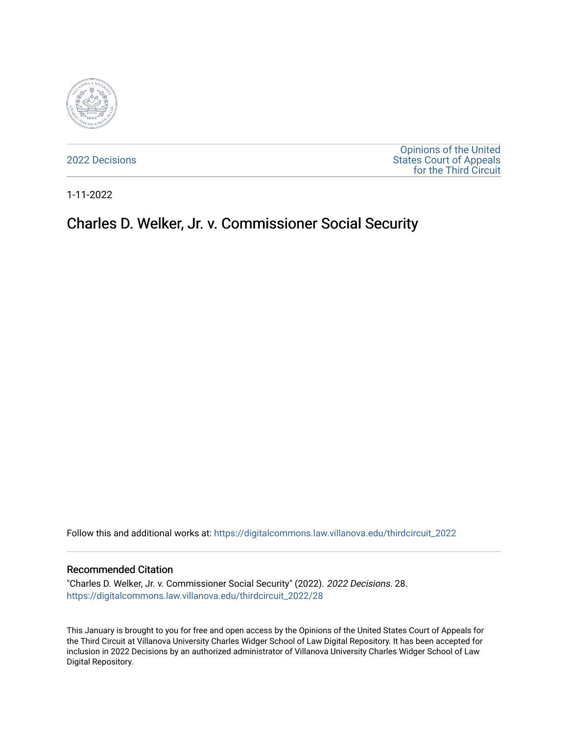

[2022 Decisions](https://digitalcommons.law.villanova.edu/thirdcircuit_2022)

[Opinions of the United](https://digitalcommons.law.villanova.edu/thirdcircuit)  [States Court of Appeals](https://digitalcommons.law.villanova.edu/thirdcircuit)  [for the Third Circuit](https://digitalcommons.law.villanova.edu/thirdcircuit) 

1-11-2022

# Charles D. Welker, Jr. v. Commissioner Social Security

Follow this and additional works at: [https://digitalcommons.law.villanova.edu/thirdcircuit\\_2022](https://digitalcommons.law.villanova.edu/thirdcircuit_2022?utm_source=digitalcommons.law.villanova.edu%2Fthirdcircuit_2022%2F28&utm_medium=PDF&utm_campaign=PDFCoverPages) 

#### Recommended Citation

"Charles D. Welker, Jr. v. Commissioner Social Security" (2022). 2022 Decisions. 28. [https://digitalcommons.law.villanova.edu/thirdcircuit\\_2022/28](https://digitalcommons.law.villanova.edu/thirdcircuit_2022/28?utm_source=digitalcommons.law.villanova.edu%2Fthirdcircuit_2022%2F28&utm_medium=PDF&utm_campaign=PDFCoverPages)

This January is brought to you for free and open access by the Opinions of the United States Court of Appeals for the Third Circuit at Villanova University Charles Widger School of Law Digital Repository. It has been accepted for inclusion in 2022 Decisions by an authorized administrator of Villanova University Charles Widger School of Law Digital Repository.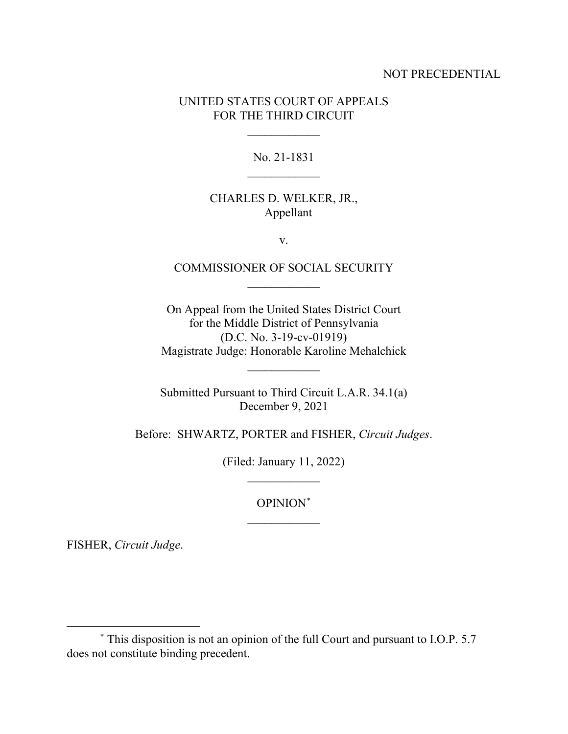#### NOT PRECEDENTIAL

### UNITED STATES COURT OF APPEALS FOR THE THIRD CIRCUIT

 $\frac{1}{2}$ 

No. 21-1831  $\overline{\phantom{a}}$  , where  $\overline{\phantom{a}}$ 

# CHARLES D. WELKER, JR., Appellant

v.

# COMMISSIONER OF SOCIAL SECURITY  $\frac{1}{2}$

On Appeal from the United States District Court for the Middle District of Pennsylvania (D.C. No. 3-19-cv-01919) Magistrate Judge: Honorable Karoline Mehalchick

Submitted Pursuant to Third Circuit L.A.R. 34.1(a) December 9, 2021

 $\overline{\phantom{a}}$ 

Before: SHWARTZ, PORTER and FISHER, *Circuit Judges*.

(Filed: January 11, 2022)  $\frac{1}{2}$ 

> OPINION\*  $\frac{1}{2}$

FISHER, *Circuit Judge*.

<sup>\*</sup> This disposition is not an opinion of the full Court and pursuant to I.O.P. 5.7 does not constitute binding precedent.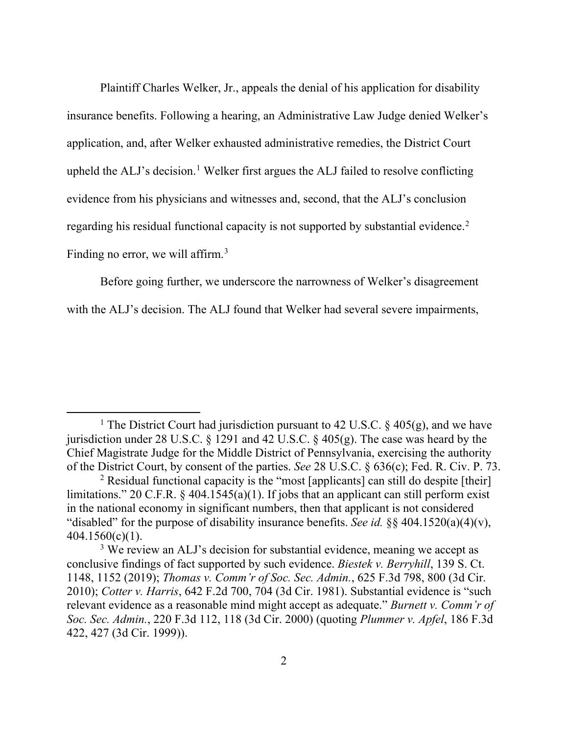Plaintiff Charles Welker, Jr., appeals the denial of his application for disability insurance benefits. Following a hearing, an Administrative Law Judge denied Welker's application, and, after Welker exhausted administrative remedies, the District Court upheld the ALJ's decision.<sup>1</sup> Welker first argues the ALJ failed to resolve conflicting evidence from his physicians and witnesses and, second, that the ALJ's conclusion regarding his residual functional capacity is not supported by substantial evidence.<sup>2</sup> Finding no error, we will affirm.<sup>3</sup>

Before going further, we underscore the narrowness of Welker's disagreement with the ALJ's decision. The ALJ found that Welker had several severe impairments,

<sup>&</sup>lt;sup>1</sup> The District Court had jurisdiction pursuant to 42 U.S.C. § 405(g), and we have jurisdiction under 28 U.S.C.  $\S$  1291 and 42 U.S.C.  $\S$  405(g). The case was heard by the Chief Magistrate Judge for the Middle District of Pennsylvania, exercising the authority of the District Court, by consent of the parties. *See* 28 U.S.C. § 636(c); Fed. R. Civ. P. 73.

<sup>&</sup>lt;sup>2</sup> Residual functional capacity is the "most [applicants] can still do despite [their] limitations." 20 C.F.R.  $\frac{6}{7}$  404.1545(a)(1). If jobs that an applicant can still perform exist in the national economy in significant numbers, then that applicant is not considered "disabled" for the purpose of disability insurance benefits. *See id.* §§ 404.1520(a)(4)(v), 404.1560(c)(1).

<sup>&</sup>lt;sup>3</sup> We review an ALJ's decision for substantial evidence, meaning we accept as conclusive findings of fact supported by such evidence. *Biestek v. Berryhill*, 139 S. Ct. 1148, 1152 (2019); *Thomas v. Comm'r of Soc. Sec. Admin.*, 625 F.3d 798, 800 (3d Cir. 2010); *Cotter v. Harris*, 642 F.2d 700, 704 (3d Cir. 1981). Substantial evidence is "such relevant evidence as a reasonable mind might accept as adequate." *Burnett v. Comm'r of Soc. Sec. Admin.*, 220 F.3d 112, 118 (3d Cir. 2000) (quoting *Plummer v. Apfel*, 186 F.3d 422, 427 (3d Cir. 1999)).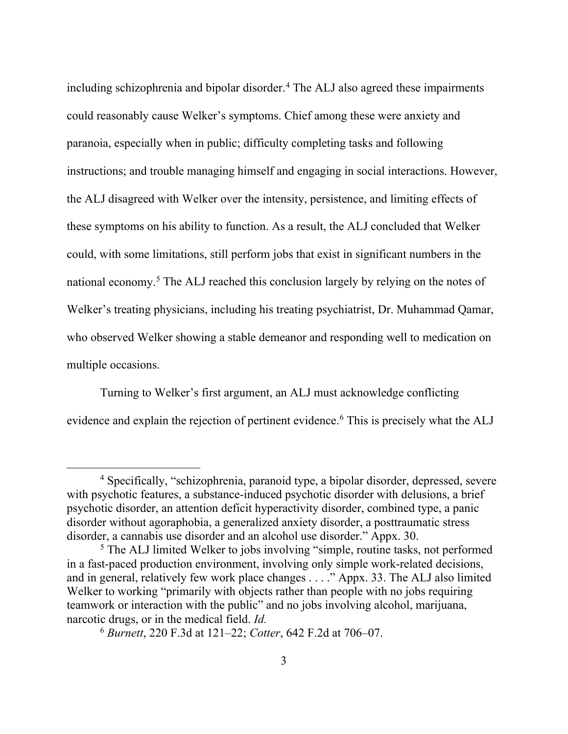including schizophrenia and bipolar disorder. <sup>4</sup> The ALJ also agreed these impairments could reasonably cause Welker's symptoms. Chief among these were anxiety and paranoia, especially when in public; difficulty completing tasks and following instructions; and trouble managing himself and engaging in social interactions. However, the ALJ disagreed with Welker over the intensity, persistence, and limiting effects of these symptoms on his ability to function. As a result, the ALJ concluded that Welker could, with some limitations, still perform jobs that exist in significant numbers in the national economy.5 The ALJ reached this conclusion largely by relying on the notes of Welker's treating physicians, including his treating psychiatrist, Dr. Muhammad Qamar, who observed Welker showing a stable demeanor and responding well to medication on multiple occasions.

Turning to Welker's first argument, an ALJ must acknowledge conflicting evidence and explain the rejection of pertinent evidence.<sup>6</sup> This is precisely what the ALJ

<sup>4</sup> Specifically, "schizophrenia, paranoid type, a bipolar disorder, depressed, severe with psychotic features, a substance-induced psychotic disorder with delusions, a brief psychotic disorder, an attention deficit hyperactivity disorder, combined type, a panic disorder without agoraphobia, a generalized anxiety disorder, a posttraumatic stress disorder, a cannabis use disorder and an alcohol use disorder." Appx. 30.

<sup>&</sup>lt;sup>5</sup> The ALJ limited Welker to jobs involving "simple, routine tasks, not performed in a fast-paced production environment, involving only simple work-related decisions, and in general, relatively few work place changes . . . ." Appx. 33. The ALJ also limited Welker to working "primarily with objects rather than people with no jobs requiring teamwork or interaction with the public" and no jobs involving alcohol, marijuana, narcotic drugs, or in the medical field. *Id.* 

<sup>6</sup> *Burnett*, 220 F.3d at 121–22; *Cotter*, 642 F.2d at 706–07.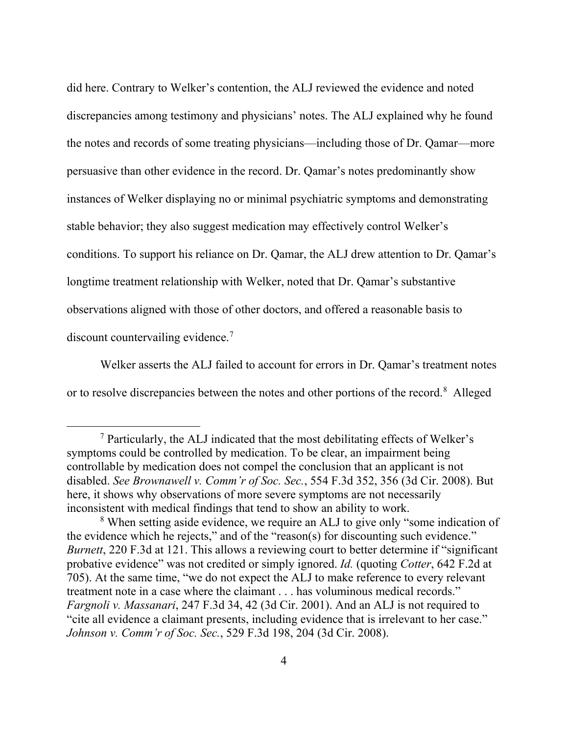did here. Contrary to Welker's contention, the ALJ reviewed the evidence and noted discrepancies among testimony and physicians' notes. The ALJ explained why he found the notes and records of some treating physicians—including those of Dr. Qamar—more persuasive than other evidence in the record. Dr. Qamar's notes predominantly show instances of Welker displaying no or minimal psychiatric symptoms and demonstrating stable behavior; they also suggest medication may effectively control Welker's conditions. To support his reliance on Dr. Qamar, the ALJ drew attention to Dr. Qamar's longtime treatment relationship with Welker, noted that Dr. Qamar's substantive observations aligned with those of other doctors, and offered a reasonable basis to discount countervailing evidence.<sup>7</sup>

Welker asserts the ALJ failed to account for errors in Dr. Qamar's treatment notes or to resolve discrepancies between the notes and other portions of the record.<sup>8</sup> Alleged

<sup>7</sup> Particularly, the ALJ indicated that the most debilitating effects of Welker's symptoms could be controlled by medication. To be clear, an impairment being controllable by medication does not compel the conclusion that an applicant is not disabled. *See Brownawell v. Comm'r of Soc. Sec.*, 554 F.3d 352, 356 (3d Cir. 2008). But here, it shows why observations of more severe symptoms are not necessarily inconsistent with medical findings that tend to show an ability to work.

<sup>&</sup>lt;sup>8</sup> When setting aside evidence, we require an ALJ to give only "some indication of the evidence which he rejects," and of the "reason(s) for discounting such evidence." *Burnett*, 220 F.3d at 121. This allows a reviewing court to better determine if "significant probative evidence" was not credited or simply ignored. *Id.* (quoting *Cotter*, 642 F.2d at 705). At the same time, "we do not expect the ALJ to make reference to every relevant treatment note in a case where the claimant . . . has voluminous medical records." *Fargnoli v. Massanari*, 247 F.3d 34, 42 (3d Cir. 2001). And an ALJ is not required to "cite all evidence a claimant presents, including evidence that is irrelevant to her case." *Johnson v. Comm'r of Soc. Sec.*, 529 F.3d 198, 204 (3d Cir. 2008).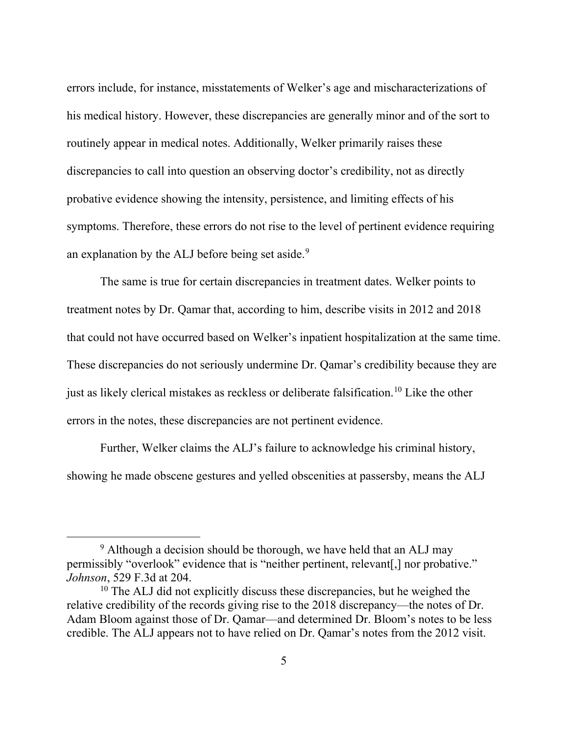errors include, for instance, misstatements of Welker's age and mischaracterizations of his medical history. However, these discrepancies are generally minor and of the sort to routinely appear in medical notes. Additionally, Welker primarily raises these discrepancies to call into question an observing doctor's credibility, not as directly probative evidence showing the intensity, persistence, and limiting effects of his symptoms. Therefore, these errors do not rise to the level of pertinent evidence requiring an explanation by the ALJ before being set aside.<sup>9</sup>

The same is true for certain discrepancies in treatment dates. Welker points to treatment notes by Dr. Qamar that, according to him, describe visits in 2012 and 2018 that could not have occurred based on Welker's inpatient hospitalization at the same time. These discrepancies do not seriously undermine Dr. Qamar's credibility because they are just as likely clerical mistakes as reckless or deliberate falsification.10 Like the other errors in the notes, these discrepancies are not pertinent evidence.

Further, Welker claims the ALJ's failure to acknowledge his criminal history, showing he made obscene gestures and yelled obscenities at passersby, means the ALJ

<sup>&</sup>lt;sup>9</sup> Although a decision should be thorough, we have held that an ALJ may permissibly "overlook" evidence that is "neither pertinent, relevant[,] nor probative." *Johnson*, 529 F.3d at 204.

 $10$  The ALJ did not explicitly discuss these discrepancies, but he weighed the relative credibility of the records giving rise to the 2018 discrepancy—the notes of Dr. Adam Bloom against those of Dr. Qamar—and determined Dr. Bloom's notes to be less credible. The ALJ appears not to have relied on Dr. Qamar's notes from the 2012 visit.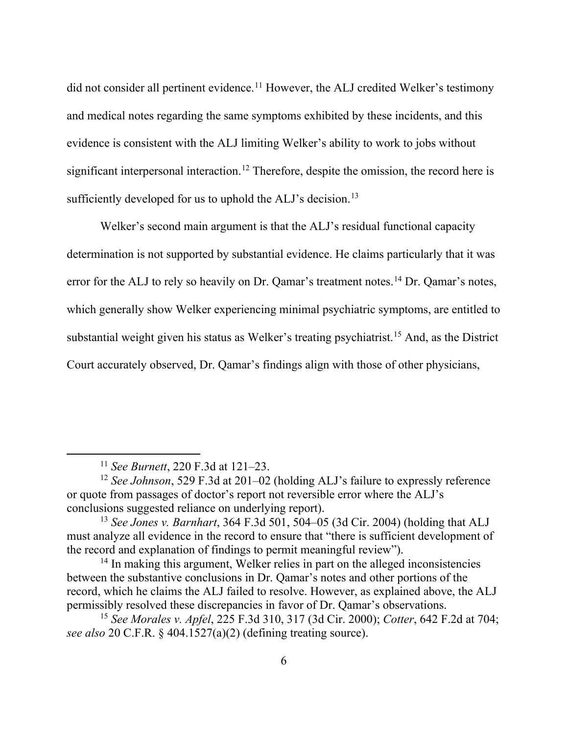did not consider all pertinent evidence.<sup>11</sup> However, the ALJ credited Welker's testimony and medical notes regarding the same symptoms exhibited by these incidents, and this evidence is consistent with the ALJ limiting Welker's ability to work to jobs without significant interpersonal interaction.<sup>12</sup> Therefore, despite the omission, the record here is sufficiently developed for us to uphold the ALJ's decision.<sup>13</sup>

Welker's second main argument is that the ALJ's residual functional capacity determination is not supported by substantial evidence. He claims particularly that it was error for the ALJ to rely so heavily on Dr. Qamar's treatment notes.<sup>14</sup> Dr. Qamar's notes, which generally show Welker experiencing minimal psychiatric symptoms, are entitled to substantial weight given his status as Welker's treating psychiatrist.15 And, as the District Court accurately observed, Dr. Qamar's findings align with those of other physicians,

<sup>11</sup> *See Burnett*, 220 F.3d at 121–23.

<sup>&</sup>lt;sup>12</sup> *See Johnson*, 529 F.3d at 201–02 (holding ALJ's failure to expressly reference or quote from passages of doctor's report not reversible error where the ALJ's conclusions suggested reliance on underlying report).

<sup>13</sup> *See Jones v. Barnhart*, 364 F.3d 501, 504–05 (3d Cir. 2004) (holding that ALJ must analyze all evidence in the record to ensure that "there is sufficient development of the record and explanation of findings to permit meaningful review").

<sup>&</sup>lt;sup>14</sup> In making this argument, Welker relies in part on the alleged inconsistencies between the substantive conclusions in Dr. Qamar's notes and other portions of the record, which he claims the ALJ failed to resolve. However, as explained above, the ALJ permissibly resolved these discrepancies in favor of Dr. Qamar's observations.

<sup>15</sup> *See Morales v. Apfel*, 225 F.3d 310, 317 (3d Cir. 2000); *Cotter*, 642 F.2d at 704; *see also* 20 C.F.R. § 404.1527(a)(2) (defining treating source).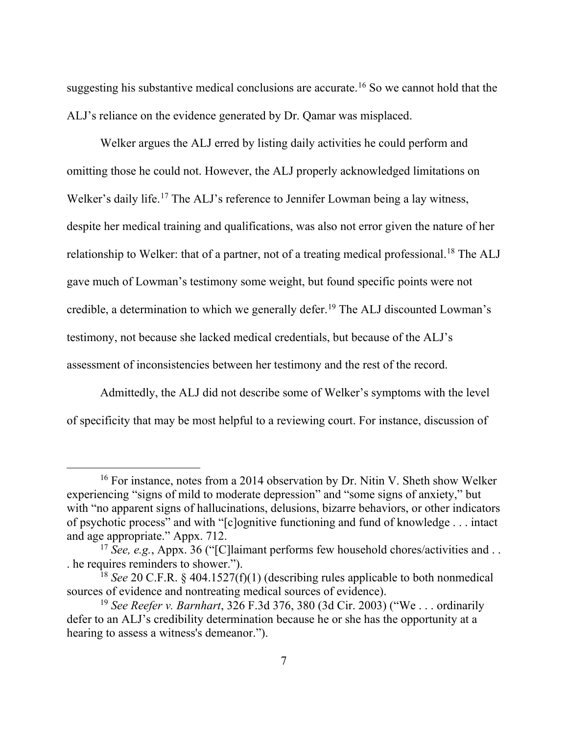suggesting his substantive medical conclusions are accurate.<sup>16</sup> So we cannot hold that the ALJ's reliance on the evidence generated by Dr. Qamar was misplaced.

Welker argues the ALJ erred by listing daily activities he could perform and omitting those he could not. However, the ALJ properly acknowledged limitations on Welker's daily life.<sup>17</sup> The ALJ's reference to Jennifer Lowman being a lay witness, despite her medical training and qualifications, was also not error given the nature of her relationship to Welker: that of a partner, not of a treating medical professional.<sup>18</sup> The ALJ gave much of Lowman's testimony some weight, but found specific points were not credible, a determination to which we generally defer.<sup>19</sup> The ALJ discounted Lowman's testimony, not because she lacked medical credentials, but because of the ALJ's assessment of inconsistencies between her testimony and the rest of the record.

Admittedly, the ALJ did not describe some of Welker's symptoms with the level of specificity that may be most helpful to a reviewing court. For instance, discussion of

<sup>&</sup>lt;sup>16</sup> For instance, notes from a 2014 observation by Dr. Nitin V. Sheth show Welker experiencing "signs of mild to moderate depression" and "some signs of anxiety," but with "no apparent signs of hallucinations, delusions, bizarre behaviors, or other indicators of psychotic process" and with "[c]ognitive functioning and fund of knowledge . . . intact and age appropriate." Appx. 712.

<sup>17</sup> *See, e.g.*, Appx. 36 ("[C]laimant performs few household chores/activities and . . . he requires reminders to shower.").

<sup>18</sup> *See* 20 C.F.R. § 404.1527(f)(1) (describing rules applicable to both nonmedical sources of evidence and nontreating medical sources of evidence).

<sup>19</sup> *See Reefer v. Barnhart*, 326 F.3d 376, 380 (3d Cir. 2003) ("We . . . ordinarily defer to an ALJ's credibility determination because he or she has the opportunity at a hearing to assess a witness's demeanor.").